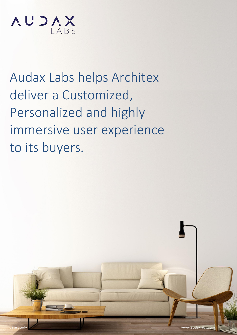

Audax Labs helps Architex deliver a Customized, Personalized and highly immersive user experience to its buyers.

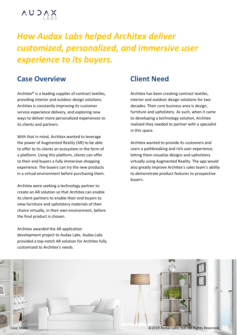

# *How Audax Labs helped Architex deliver customized, personalized, and immersive user experience to its buyers.*

## **Case Overview**

Architex® is a leading supplier of contract textiles, providing interior and outdoor design solutions. Architex is constantly improving its customer service experience delivery, and exploring new ways to deliver more personalized experiences to its clients and partners.

With that in mind, Architex wanted to leverage the power of Augmented Reality (AR) to be able to offer to its clients an ecosystem in the form of a platform. Using this platform, clients can offer to their end buyers a fully immersive shopping experience. The buyers can try the new products in a virtual environment before purchasing them.

Architex were seeking a technology partner to create an AR solution so that Architex can enable its client-partners to enable their end buyers to view furniture and upholstery materials of their choice virtually, in their own environment, before the final product is chosen.

Architex awarded the AR application development project to Audax Labs. Audax Labs provided a top-notch AR solution for Architex fully customized to Architex's needs.

#### **Client Need**

Architex has been creating contract textiles, interior and outdoor design solutions for two decades. Their core business area is design, furniture and upholstery. As such, when it came to developing a technology solution, Architex realized they needed to partner with a specialist in this space.

Architex wanted to provide its customers and users a pathbreaking and rich user experience, letting them visualize designs and upholstery virtually using Augmented Reality. The app would also greatly improve Architex's sales team's ability to demonstrate product features to prospective buyers.